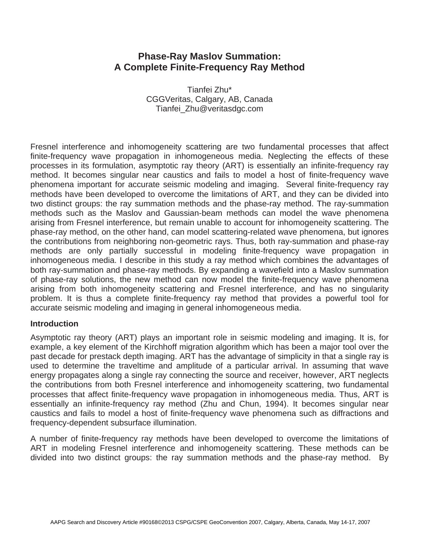# **Phase-Ray Maslov Summation: A Complete Finite-Frequency Ray Method**

Tianfei Zhu\* CGGVeritas, Calgary, AB, Canada Tianfei\_Zhu@veritasdgc.com

Fresnel interference and inhomogeneity scattering are two fundamental processes that affect finite-frequency wave propagation in inhomogeneous media. Neglecting the effects of these processes in its formulation, asymptotic ray theory (ART) is essentially an infinite-frequency ray method. It becomes singular near caustics and fails to model a host of finite-frequency wave phenomena important for accurate seismic modeling and imaging. Several finite-frequency ray methods have been developed to overcome the limitations of ART, and they can be divided into two distinct groups: the ray summation methods and the phase-ray method. The ray-summation methods such as the Maslov and Gaussian-beam methods can model the wave phenomena arising from Fresnel interference, but remain unable to account for inhomogeneity scattering. The phase-ray method, on the other hand, can model scattering-related wave phenomena, but ignores the contributions from neighboring non-geometric rays. Thus, both ray-summation and phase-ray methods are only partially successful in modeling finite-frequency wave propagation in inhomogeneous media. I describe in this study a ray method which combines the advantages of both ray-summation and phase-ray methods. By expanding a wavefield into a Maslov summation of phase-ray solutions, the new method can now model the finite-frequency wave phenomena arising from both inhomogeneity scattering and Fresnel interference, and has no singularity problem. It is thus a complete finite-frequency ray method that provides a powerful tool for accurate seismic modeling and imaging in general inhomogeneous media.

### **Introduction**

Asymptotic ray theory (ART) plays an important role in seismic modeling and imaging. It is, for example, a key element of the Kirchhoff migration algorithm which has been a major tool over the past decade for prestack depth imaging. ART has the advantage of simplicity in that a single ray is used to determine the traveltime and amplitude of a particular arrival. In assuming that wave energy propagates along a single ray connecting the source and receiver, however, ART neglects the contributions from both Fresnel interference and inhomogeneity scattering, two fundamental processes that affect finite-frequency wave propagation in inhomogeneous media. Thus, ART is essentially an infinite-frequency ray method (Zhu and Chun, 1994). It becomes singular near caustics and fails to model a host of finite-frequency wave phenomena such as diffractions and frequency-dependent subsurface illumination.

A number of finite-frequency ray methods have been developed to overcome the limitations of ART in modeling Fresnel interference and inhomogeneity scattering. These methods can be divided into two distinct groups: the ray summation methods and the phase-ray method. By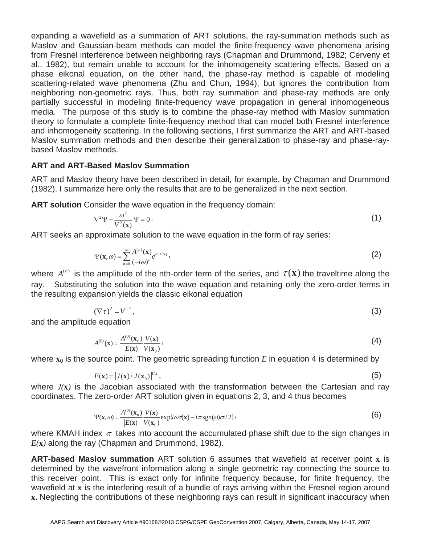expanding a wavefield as a summation of ART solutions, the ray-summation methods such as Maslov and Gaussian-beam methods can model the finite-frequency wave phenomena arising from Fresnel interference between neighboring rays (Chapman and Drummond, 1982; Cerveny et al., 1982), but remain unable to account for the inhomogeneity scattering effects. Based on a phase eikonal equation, on the other hand, the phase-ray method is capable of modeling scattering-related wave phenomena (Zhu and Chun, 1994), but ignores the contribution from neighboring non-geometric rays. Thus, both ray summation and phase-ray methods are only partially successful in modeling finite-frequency wave propagation in general inhomogeneous media. The purpose of this study is to combine the phase-ray method with Maslov summation theory to formulate a complete finite-frequency method that can model both Fresnel interference and inhomogeneity scattering. In the following sections, I first summarize the ART and ART-based Maslov summation methods and then describe their generalization to phase-ray and phase-raybased Maslov methods.

## **ART and ART-Based Maslov Summation**

ART and Maslov theory have been described in detail, for example, by Chapman and Drummond (1982). I summarize here only the results that are to be generalized in the next section.

**ART solution** Consider the wave equation in the frequency domain:

$$
\nabla^2 \Psi - \frac{\omega^2}{V^2(\mathbf{x})} \Psi = 0 \,. \tag{1}
$$

 $\frac{V_1(X)}{X_2(X)}$ <br>ART seeks an approximate solution to the wave equation in the form of ray series:

$$
\Psi(\mathbf{x},\omega) = \sum_{n=0}^{\infty} \frac{A^{(n)}(\mathbf{x})}{(-i\omega)^n} e^{i\omega \tau(\mathbf{x})},\tag{2}
$$

where  $A^{(n)}$  is the amplitude of the nth-order term of the series, and  $\tau(\mathbf{x})$  the traveltime along the value of the nth-order term of the series, and  $\tau(\mathbf{x})$  the traveltime along the ray. Substituting the solution into the wave equation and retaining only the zero-order terms in the resulting expansion yields the classic eikonal equation

$$
(\nabla \tau)^2 = V^{-2},\tag{3}
$$

 $(\nabla \tau)^2 = V^{-2}$ <br>and the amplitude equation

$$
A^{(0)}(\mathbf{x}) = \frac{A^{(0)}(\mathbf{x}_0)}{E(\mathbf{x})} \frac{V(\mathbf{x})}{V(\mathbf{x}_0)},
$$
\n(4)

where  $\mathbf{x}_0$  is the source point. The geometric spreading function *E* in equation 4 is determined by

$$
E(\mathbf{x}) = [J(\mathbf{x})/J(\mathbf{x}_0)]^{1/2},
$$
\n(5)

where *J(***x***)* is the Jacobian associated with the transformation between the Cartesian and ray coordinates. The zero-order ART solution given in equations 2, 3, and 4 thus becomes

$$
\Psi(\mathbf{x},\omega) = \frac{A^{(0)}(\mathbf{x}_0)}{|E(\mathbf{x})|} \frac{V(\mathbf{x})}{V(\mathbf{x}_0)} \exp[i\omega\tau(\mathbf{x}) - i\pi \operatorname{sgn}(\omega)\sigma/2],
$$
\n(6)

 $\frac{|E(\mathbf{x})|}{|E(\mathbf{x})|}$   $\frac{|E(\mathbf{x})|}{|E(\mathbf{x})|}$   $\frac{|E(\mathbf{x})|}{|E(\mathbf{x})|}$  into account the accumulated phase shift due to the sign changes in *E(***x***)* along the ray (Chapman and Drummond, 1982).

**ART-based Maslov summation** ART solution 6 assumes that wavefield at receiver point **x** is determined by the wavefront information along a single geometric ray connecting the source to this receiver point. This is exact only for infinite frequency because, for finite frequency, the wavefield at **x** is the interfering result of a bundle of rays arriving within the Fresnel region around **x.** Neglecting the contributions of these neighboring rays can result in significant inaccuracy when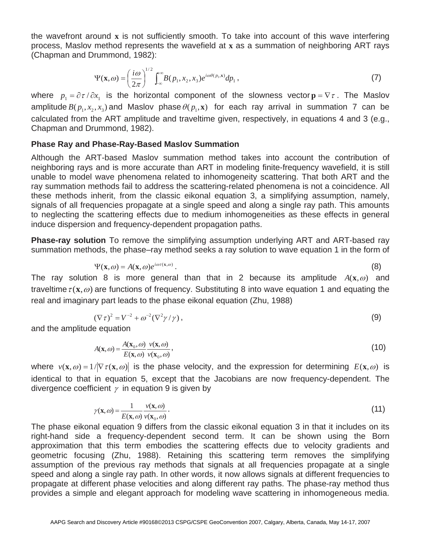the wavefront around **x** is not sufficiently smooth. To take into account of this wave interfering process, Maslov method represents the wavefield at **x** as a summation of neighboring ART rays (Chapman and Drummond, 1982):

$$
\Psi(\mathbf{x}, \omega) = \left(\frac{i\omega}{2\pi}\right)^{1/2} \int_{-\infty}^{+\infty} B(p_1, x_2, x_3) e^{i\omega\theta(p_1, \mathbf{x})} dp_1,
$$
\nwhere  $p_1 = \partial \tau / \partial x_1$  is the horizontal component of the slowness vector  $\mathbf{p} = \nabla \tau$ . The Maslov amplitude  $P(x_1, x_2, \omega)$  and Meclov whose above equation  $\mathcal{P}(\mathbf{x}, \omega)$  and the derivative  $\mathbf{p} = \nabla \tau$ .

amplitude  $B(p_1, x_2, x_3)$  and Maslov phase  $\theta(p_1, x)$  for each ray arrival in summation 7 can be calculated from the ART amplitude and traveltime given, respectively, in equations 4 and 3 (e.g., Chapman and Drummond, 1982).

### **Phase Ray and Phase-Ray-Based Maslov Summation**

Although the ART-based Maslov summation method takes into account the contribution of neighboring rays and is more accurate than ART in modeling finite-frequency wavefield, it is still unable to model wave phenomena related to inhomogeneity scattering. That both ART and the ray summation methods fail to address the scattering-related phenomena is not a coincidence. All these methods inherit, from the classic eikonal equation 3, a simplifying assumption, namely, signals of all frequencies propagate at a single speed and along a single ray path. This amounts to neglecting the scattering effects due to medium inhomogeneities as these effects in general induce dispersion and frequency-dependent propagation paths.

**Phase-ray solution** To remove the simplifying assumption underlying ART and ART-based ray summation methods, the phase–ray method seeks a ray solution to wave equation 1 in the form of

$$
\Psi(\mathbf{x}, \omega) = A(\mathbf{x}, \omega)e^{i\omega\tau(\mathbf{x}, \omega)}.
$$
\n(8)

The ray solution 8 is more general than that in 2 because its amplitude  $A(\mathbf{x}, \omega)$  and  $\mathbf{f}(\mathbf{x}, \omega)$  are function of functional Cube its integrate and condition that traveltime  $\tau(\mathbf{x}, \omega)$  are functions of frequency. Substituting 8 into wave equation 1 and equating the real and imaginary part leads to the phase eikonal equation (Zhu, 1988)

$$
(\nabla \tau)^2 = V^{-2} + \omega^{-2} (\nabla^2 \gamma / \gamma), \qquad (9)
$$

 $(\nabla \tau)^2 = V^{-2} + \omega^{-2} (\nabla^2 \gamma / \gamma)$ <br>and the amplitude equation

$$
A(\mathbf{x},\omega) = \frac{A(\mathbf{x}_0,\omega)}{E(\mathbf{x},\omega)} \frac{\nu(\mathbf{x},\omega)}{\nu(\mathbf{x}_0,\omega)},
$$
(10)

where  $v(\mathbf{x}, \omega) = 1/|\nabla \tau(\mathbf{x}, \omega)|$  is the phase velocity, and the expression for determining  $E(\mathbf{x}, \omega)$  is identical to that in equation 5, except that the Jacobians are now frequency-dependent. The divergence coefficient  $\gamma$  in equation 9 is given by

$$
\gamma(\mathbf{x}, \omega) = \frac{1}{E(\mathbf{x}, \omega)} \frac{v(\mathbf{x}, \omega)}{v(\mathbf{x}_0, \omega)}.
$$
\n(11)

The phase eikonal equation 9 differs from the classic eikonal equation 3 in that it includes on its right-hand side a frequency-dependent second term. It can be shown using the Born approximation that this term embodies the scattering effects due to velocity gradients and geometric focusing (Zhu, 1988). Retaining this scattering term removes the simplifying assumption of the previous ray methods that signals at all frequencies propagate at a single speed and along a single ray path. In other words, it now allows signals at different frequencies to propagate at different phase velocities and along different ray paths. The phase-ray method thus provides a simple and elegant approach for modeling wave scattering in inhomogeneous media.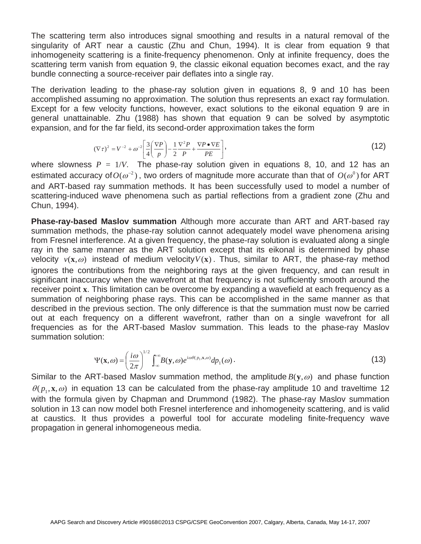The scattering term also introduces signal smoothing and results in a natural removal of the singularity of ART near a caustic (Zhu and Chun, 1994). It is clear from equation 9 that inhomogeneity scattering is a finite-frequency phenomenon. Only at infinite frequency, does the scattering term vanish from equation 9, the classic eikonal equation becomes exact, and the ray bundle connecting a source-receiver pair deflates into a single ray.

The derivation leading to the phase-ray solution given in equations 8, 9 and 10 has been accomplished assuming no approximation. The solution thus represents an exact ray formulation. Except for a few velocity functions, however, exact solutions to the eikonal equation 9 are in general unattainable. Zhu (1988) has shown that equation 9 can be solved by asymptotic expansion, and for the far field, its second-order approximation takes the form

$$
(\nabla \tau)^2 = V^{-2} + \omega^{-2} \left[ \frac{3}{4} \left( \frac{\nabla P}{p} \right) - \frac{1}{2} \frac{\nabla^2 P}{p} + \frac{\nabla P \bullet \nabla E}{pE} \right],
$$
\n(12)

where slowness  $P = 1/V$ . The phase-ray solution given in equations 8, 10, and 12 has an estimated accuracy of  $O(\omega^2)$ , two orders of magnitude more accurate than that of  $O(\omega^0)$  for APT. estimated accuracy of  $O(\omega^2)$ , two orders of magnitude more accurate than that of  $O(\omega^0)$  for ART and ART-based ray summation methods. It has been successfully used to model a number of scattering-induced wave phenomena such as partial reflections from a gradient zone (Zhu and Chun, 1994).

**Phase-ray-based Maslov summation** Although more accurate than ART and ART-based ray summation methods, the phase-ray solution cannot adequately model wave phenomena arising from Fresnel interference. At a given frequency, the phase-ray solution is evaluated along a single ray in the same manner as the ART solution except that its eikonal is determined by phase velocity  $v(\mathbf{x}, \omega)$  instead of medium velocity $V(\mathbf{x})$ . Thus, similar to ART, the phase-ray method ignores the contributions from the neighboring rays at the given frequency, and can result in significant inaccuracy when the wavefront at that frequency is not sufficiently smooth around the receiver point **x**. This limitation can be overcome by expanding a wavefield at each frequency as a summation of neighboring phase rays. This can be accomplished in the same manner as that described in the previous section. The only difference is that the summation must now be carried out at each frequency on a different wavefront, rather than on a single wavefront for all frequencies as for the ART-based Maslov summation. This leads to the phase-ray Maslov summation solution:

$$
\Psi(\mathbf{x}, \omega) = \left(\frac{i\omega}{2\pi}\right)^{1/2} \int_{-\infty}^{+\infty} B(\mathbf{y}, \omega) e^{i\omega\theta(p_1, \mathbf{x}, \omega)} dp_1(\omega).
$$
\n(13)

Similar to the ART-based Maslov summation method, the amplitude  $B(y, \omega)$  and phase function  $\theta(p_1, \mathbf{x}, \omega)$  in equation 13 can be calculated from the phase-ray amplitude 10 and traveltime 12 with the formula given by Chapman and Drummond (1982). The phase-ray Maslov summation solution in 13 can now model both Fresnel interference and inhomogeneity scattering, and is valid at caustics. It thus provides a powerful tool for accurate modeling finite-frequency wave propagation in general inhomogeneous media.